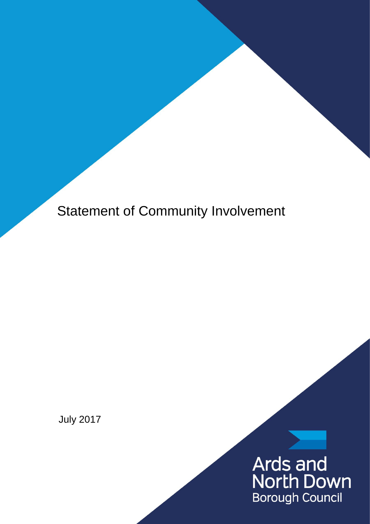Statement of Community Involvement

July 2017

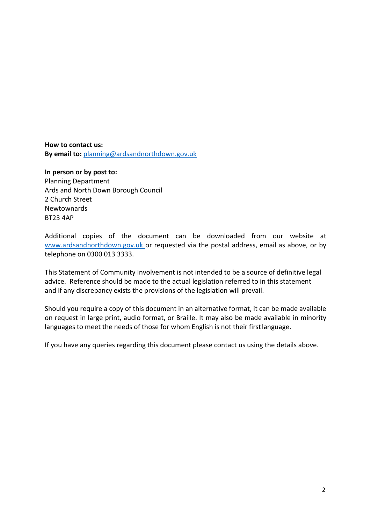**How to contact us: By email to:** [planning@ardsandnorthdown.gov.uk](mailto:planning@ardsandnorthdown.gov.uk)

**In person or by post to:** Planning Department Ards and North Down Borough Council 2 Church Street Newtownards BT23 4AP

Additional copies of the document can be downloaded from our website at [www.ardsandnorthdown.gov.uk](http://www.ardsandnorthdown.gov.uk/resident/planning) or requested via the postal address, email as above, or by telephone on 0300 013 3333.

This Statement of Community Involvement is not intended to be a source of definitive legal advice. Reference should be made to the actual legislation referred to in this statement and if any discrepancy exists the provisions of the legislation will prevail.

Should you require a copy of this document in an alternative format, it can be made available on request in large print, audio format, or Braille. It may also be made available in minority languages to meet the needs of those for whom English is not their firstlanguage.

If you have any queries regarding this document please contact us using the details above.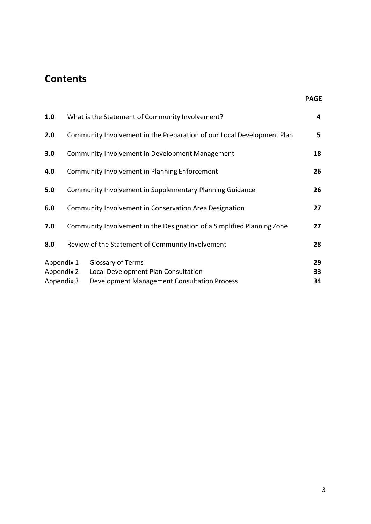# **Contents**

| 1.0                                    | What is the Statement of Community Involvement?                        |                                                                                                                | 4              |
|----------------------------------------|------------------------------------------------------------------------|----------------------------------------------------------------------------------------------------------------|----------------|
| 2.0                                    | Community Involvement in the Preparation of our Local Development Plan |                                                                                                                | 5              |
| 3.0                                    | Community Involvement in Development Management                        |                                                                                                                | 18             |
| 4.0                                    | Community Involvement in Planning Enforcement                          |                                                                                                                |                |
| 5.0                                    | Community Involvement in Supplementary Planning Guidance               |                                                                                                                | 26             |
| 6.0                                    | Community Involvement in Conservation Area Designation                 |                                                                                                                | 27             |
| 7.0                                    |                                                                        | Community Involvement in the Designation of a Simplified Planning Zone                                         | 27             |
| 8.0                                    |                                                                        | Review of the Statement of Community Involvement                                                               | 28             |
| Appendix 1<br>Appendix 2<br>Appendix 3 |                                                                        | <b>Glossary of Terms</b><br>Local Development Plan Consultation<br>Development Management Consultation Process | 29<br>33<br>34 |

**PAGE**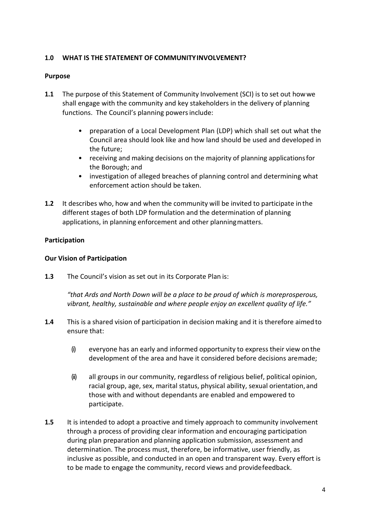# **1.0 WHAT IS THE STATEMENT OF COMMUNITYINVOLVEMENT?**

#### **Purpose**

- **1.1** The purpose of this Statement of Community Involvement (SCI) is to set out howwe shall engage with the community and key stakeholders in the delivery of planning functions. The Council's planning powers include:
	- preparation of a Local Development Plan (LDP) which shall set out what the Council area should look like and how land should be used and developed in the future;
	- receiving and making decisions on the majority of planning applicationsfor the Borough; and
	- investigation of alleged breaches of planning control and determining what enforcement action should be taken.
- **1.2** It describes who, how and when the community will be invited to participate in the different stages of both LDP formulation and the determination of planning applications, in planning enforcement and other planningmatters.

## **Participation**

## **Our Vision of Participation**

**1.3** The Council's vision as set out in its Corporate Plan is:

*"that Ards and North Down will be a place to be proud of which is moreprosperous, vibrant, healthy, sustainable and where people enjoy an excellent quality of life."*

- **1.4** This is a shared vision of participation in decision making and it is therefore aimedto ensure that:
	- (i) everyone has an early and informed opportunity to express their view onthe development of the area and have it considered before decisions aremade;
	- (ii) all groups in our community, regardless of religious belief, political opinion, racial group, age, sex, marital status, physical ability, sexual orientation, and those with and without dependants are enabled and empowered to participate.
- **1.5** It is intended to adopt a proactive and timely approach to community involvement through a process of providing clear information and encouraging participation during plan preparation and planning application submission, assessment and determination. The process must, therefore, be informative, user friendly, as inclusive as possible, and conducted in an open and transparent way. Every effort is to be made to engage the community, record views and providefeedback.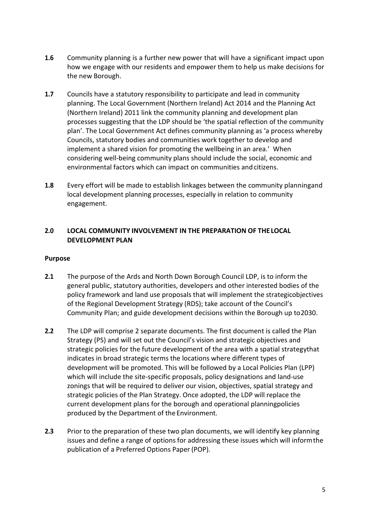- **1.6** Community planning is a further new power that will have a significant impact upon how we engage with our residents and empower them to help us make decisions for the new Borough.
- **1.7** Councils have a statutory responsibility to participate and lead in community planning. The Local Government (Northern Ireland) Act 2014 and the Planning Act (Northern Ireland) 2011 link the community planning and development plan processes suggesting that the LDP should be 'the spatial reflection of the community plan'. The Local Government Act defines community planning as 'a process whereby Councils, statutory bodies and communities work together to develop and implement a shared vision for promoting the wellbeing in an area.' When considering well-being community plans should include the social, economic and environmental factors which can impact on communities and citizens.
- **1.8** Every effort will be made to establish linkages between the community planningand local development planning processes, especially in relation to community engagement.

# **2.0 LOCAL COMMUNITY INVOLVEMENT IN THE PREPARATION OF THELOCAL DEVELOPMENT PLAN**

# **Purpose**

- **2.1** The purpose of the Ards and North Down Borough Council LDP, is to inform the general public, statutory authorities, developers and other interested bodies of the policy framework and land use proposals that will implement the strategicobjectives of the Regional Development Strategy (RDS); take account of the Council's Community Plan; and guide development decisions within the Borough up to2030.
- **2.2** The LDP will comprise 2 separate documents. The first document is called the Plan Strategy (PS) and will set out the Council's vision and strategic objectives and strategic policies for the future development of the area with a spatial strategythat indicates in broad strategic terms the locations where different types of development will be promoted. This will be followed by a Local Policies Plan (LPP) which will include the site-specific proposals, policy designations and land-use zonings that will be required to deliver our vision, objectives, spatial strategy and strategic policies of the Plan Strategy. Once adopted, the LDP will replace the current development plans for the borough and operational planningpolicies produced by the Department of the Environment.
- **2.3** Prior to the preparation of these two plan documents, we will identify key planning issues and define a range of options for addressing these issues which will informthe publication of a Preferred Options Paper (POP).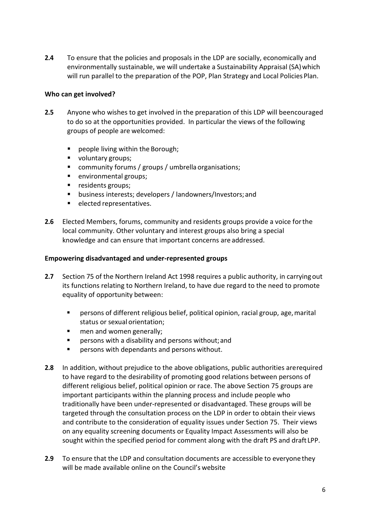**2.4** To ensure that the policies and proposals in the LDP are socially, economically and environmentally sustainable, we will undertake a Sustainability Appraisal (SA) which will run parallel to the preparation of the POP, Plan Strategy and Local Policies Plan.

## **Who can get involved?**

- **2.5** Anyone who wishes to get involved in the preparation of this LDP will beencouraged to do so at the opportunities provided. In particular the views of the following groups of people are welcomed:
	- people living within the Borough;
	- voluntary groups;
	- community forums / groups / umbrella organisations;
	- **environmental groups;**
	- **residents groups;**
	- business interests; developers / landowners/Investors;and
	- **elected representatives.**
- **2.6** Elected Members, forums, community and residents groups provide a voice forthe local community. Other voluntary and interest groups also bring a special knowledge and can ensure that important concerns are addressed.

#### **Empowering disadvantaged and under-represented groups**

- **2.7** Section 75 of the Northern Ireland Act 1998 requires a public authority, in carryingout its functions relating to Northern Ireland, to have due regard to the need to promote equality of opportunity between:
	- persons of different religious belief, political opinion, racial group, age,marital status or sexual orientation;
	- **n** men and women generally;
	- **Persons with a disability and persons without; and**
	- persons with dependants and persons without.
- **2.8** In addition, without prejudice to the above obligations, public authorities arerequired to have regard to the desirability of promoting good relations between persons of different religious belief, political opinion or race. The above Section 75 groups are important participants within the planning process and include people who traditionally have been under-represented or disadvantaged. These groups will be targeted through the consultation process on the LDP in order to obtain their views and contribute to the consideration of equality issues under Section 75. Their views on any equality screening documents or Equality Impact Assessments will also be sought within the specified period for comment along with the draft PS and draft LPP.
- **2.9** To ensure that the LDP and consultation documents are accessible to everyonethey will be made available online on the Council's website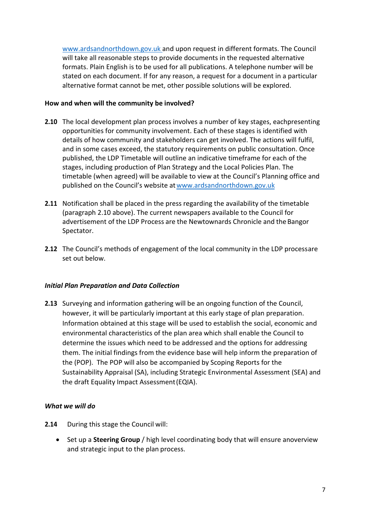[www.ardsandnorthdown.gov.uk](http://www.ardsandnorthdown.gov.uk/) and upon request in different formats. The Council will take all reasonable steps to provide documents in the requested alternative formats. Plain English is to be used for all publications. A telephone number will be stated on each document. If for any reason, a request for a document in a particular alternative format cannot be met, other possible solutions will be explored.

## **How and when will the community be involved?**

- **2.10** The local development plan process involves a number of key stages, eachpresenting opportunities for community involvement. Each of these stages is identified with details of how community and stakeholders can get involved. The actions will fulfil, and in some cases exceed, the statutory requirements on public consultation. Once published, the LDP Timetable will outline an indicative timeframe for each of the stages, including production of Plan Strategy and the Local Policies Plan. The timetable (when agreed) will be available to view at the Council's Planning office and published on the Council's website at www.ardsandnorthdown.gov.uk
- **2.11** Notification shall be placed in the press regarding the availability of the timetable (paragraph 2.10 above). The current newspapers available to the Council for advertisement of the LDP Process are the Newtownards Chronicle and the Bangor Spectator.
- **2.12** The Council's methods of engagement of the local community in the LDP processare set out below.

# *Initial Plan Preparation and Data Collection*

**2.13** Surveying and information gathering will be an ongoing function of the Council, however, it will be particularly important at this early stage of plan preparation. Information obtained at this stage will be used to establish the social, economic and environmental characteristics of the plan area which shall enable the Council to determine the issues which need to be addressed and the options for addressing them. The initial findings from the evidence base will help inform the preparation of the (POP). The POP will also be accompanied by Scoping Reports for the Sustainability Appraisal (SA), including Strategic Environmental Assessment (SEA) and the draft Equality Impact Assessment(EQIA).

- **2.14** During this stage the Council will:
	- Set up a **Steering Group** / high level coordinating body that will ensure anoverview and strategic input to the plan process.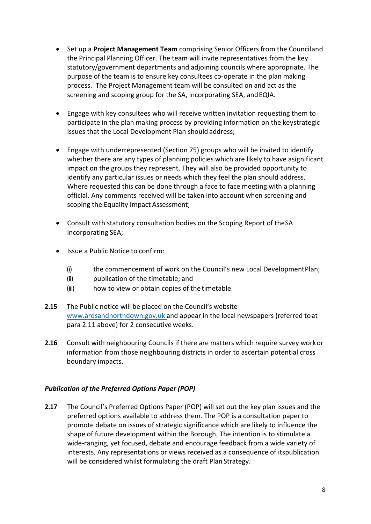- Set up a **Project Management Team** comprising Senior Officers from the Counciland the Principal Planning Officer. The team will invite representatives from the key statutory/government departments and adjoining councils where appropriate. The purpose of the team is to ensure key consultees co-operate in the plan making process. The Project Management team will be consulted on and act as the screening and scoping group for the SA, incorporating SEA, and EQIA.
- Engage with key consultees who will receive written invitation requesting them to participate in the plan making process by providing information on the keystrategic issues that the Local Development Plan should address;
- Engage with underrepresented (Section 75) groups who will be invited to identify whether there are any types of planning policies which are likely to have asignificant impact on the groups they represent. They will also be provided opportunity to identify any particular issues or needs which they feel the plan should address. Where requested this can be done through a face to face meeting with a planning official. Any comments received will be taken into account when screening and scoping the Equality Impact Assessment;
- Consult with statutory consultation bodies on the Scoping Report of theSA incorporating SEA;
- Issue a Public Notice to confirm:
	- (i) the commencement of work on the Council's new Local DevelopmentPlan;
	- (ii) publication of the timetable; and
	- (iii) how to view or obtain copies of the timetable.
- **2.15** The Public notice will be placed on the Council's website [www.ardsandnorthdown.gov.uk](http://www.ardsandnorthdown.gov.uk/) and appear in the local newspapers (referred to at para 2.11 above) for 2 consecutive weeks.
- **2.16** Consult with neighbouring Councils if there are matters which require survey workor information from those neighbouring districts in order to ascertain potential cross boundary impacts.

# *Publication of the Preferred Options Paper (POP)*

**2.17** The Council's Preferred Options Paper (POP) will set out the key plan issues and the preferred options available to address them. The POP is a consultation paper to promote debate on issues of strategic significance which are likely to influence the shape of future development within the Borough. The intention is to stimulate a wide-ranging, yet focused, debate and encourage feedback from a wide variety of interests. Any representations or views received as a consequence of itspublication will be considered whilst formulating the draft Plan Strategy.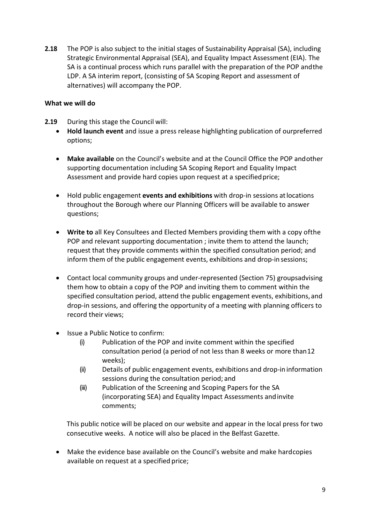**2.18** The POP is also subject to the initial stages of Sustainability Appraisal (SA), including Strategic Environmental Appraisal (SEA), and Equality Impact Assessment (EIA). The SA is a continual process which runs parallel with the preparation of the POP andthe LDP. A SA interim report, (consisting of SA Scoping Report and assessment of alternatives) will accompany the POP.

## **What we will do**

- **2.19** During this stage the Council will:
	- **Hold launch event** and issue a press release highlighting publication of ourpreferred options;
	- **Make available** on the Council's website and at the Council Office the POP andother supporting documentation including SA Scoping Report and Equality Impact Assessment and provide hard copies upon request at a specified price;
	- Hold public engagement **events and exhibitions** with drop-in sessions atlocations throughout the Borough where our Planning Officers will be available to answer questions;
	- **Write to** all Key Consultees and Elected Members providing them with a copy ofthe POP and relevant supporting documentation ; invite them to attend the launch; request that they provide comments within the specified consultation period; and inform them of the public engagement events, exhibitions and drop-in sessions;
	- Contact local community groups and under-represented (Section 75) groupsadvising them how to obtain a copy of the POP and inviting them to comment within the specified consultation period, attend the public engagement events, exhibitions, and drop-in sessions, and offering the opportunity of a meeting with planning officers to record their views;
	- Issue a Public Notice to confirm:
		- (i) Publication of the POP and invite comment within the specified consultation period (a period of not less than 8 weeks or more than12 weeks);
		- (ii) Details of public engagement events, exhibitions and drop-in information sessions during the consultation period; and
		- (iii) Publication of the Screening and Scoping Papers for the SA (incorporating SEA) and Equality Impact Assessments andinvite comments;

This public notice will be placed on our website and appear in the local press for two consecutive weeks. A notice will also be placed in the Belfast Gazette.

• Make the evidence base available on the Council's website and make hardcopies available on request at a specified price;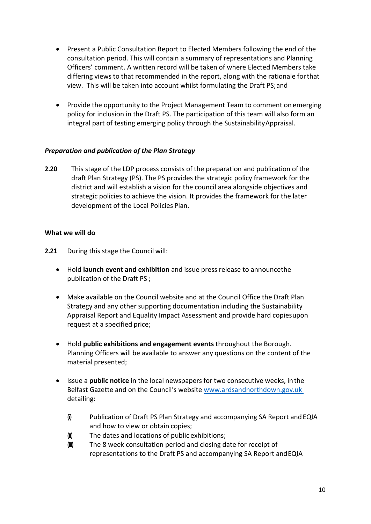- Present a Public Consultation Report to Elected Members following the end of the consultation period. This will contain a summary of representations and Planning Officers' comment. A written record will be taken of where Elected Members take differing views to that recommended in the report, along with the rationale forthat view. This will be taken into account whilst formulating the Draft PS;and
- Provide the opportunity to the Project Management Team to comment on emerging policy for inclusion in the Draft PS. The participation of this team will also form an integral part of testing emerging policy through the SustainabilityAppraisal.

# *Preparation and publication of the Plan Strategy*

**2.20** This stage of the LDP process consists of the preparation and publication ofthe draft Plan Strategy (PS). The PS provides the strategic policy framework for the district and will establish a vision for the council area alongside objectives and strategic policies to achieve the vision. It provides the framework for the later development of the Local Policies Plan.

- **2.21** During this stage the Council will:
	- Hold **launch event and exhibition** and issue press release to announcethe publication of the Draft PS ;
	- Make available on the Council website and at the Council Office the Draft Plan Strategy and any other supporting documentation including the Sustainability Appraisal Report and Equality Impact Assessment and provide hard copiesupon request at a specified price;
	- Hold **public exhibitions and engagement events** throughout the Borough. Planning Officers will be available to answer any questions on the content of the material presented;
	- Issue a **public notice** in the local newspapers for two consecutive weeks, in the Belfast Gazette and on the Council's website [www.ardsandnorthdown.gov.uk](http://www.ardsandnorthdown.gov.uk/)  detailing:
		- (i) Publication of Draft PS Plan Strategy and accompanying SA Report andEQIA and how to view or obtain copies;
		- (ii) The dates and locations of public exhibitions;
		- (iii) The 8 week consultation period and closing date for receipt of representations to the Draft PS and accompanying SA Report andEQIA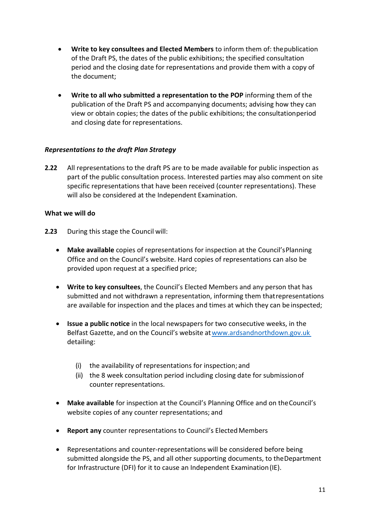- **Write to key consultees and Elected Members** to inform them of: thepublication of the Draft PS, the dates of the public exhibitions; the specified consultation period and the closing date for representations and provide them with a copy of the document;
- **Write to all who submitted a representation to the POP** informing them of the publication of the Draft PS and accompanying documents; advising how they can view or obtain copies; the dates of the public exhibitions; the consultationperiod and closing date for representations.

# *Representations to the draft Plan Strategy*

**2.22** All representations to the draft PS are to be made available for public inspection as part of the public consultation process. Interested parties may also comment on site specific representations that have been received (counter representations). These will also be considered at the Independent Examination.

- **2.23** During this stage the Council will:
	- **Make available** copies of representations for inspection at the Council'sPlanning Office and on the Council's website. Hard copies of representations can also be provided upon request at a specified price;
	- **Write to key consultees**, the Council's Elected Members and any person that has submitted and not withdrawn a representation, informing them thatrepresentations are available for inspection and the places and times at which they can be inspected;
	- **Issue a public notice** in the local newspapers for two consecutive weeks, in the Belfast Gazette, and on the Council's website a[twww.ardsandnorthdown.gov.uk](http://www.ardsandnorthdown.gov.uk/)  detailing:
		- (i) the availability of representations for inspection; and
		- (ii) the 8 week consultation period including closing date for submissionof counter representations.
	- **Make available** for inspection at the Council's Planning Office and on theCouncil's website copies of any counter representations; and
	- **Report any** counter representations to Council's ElectedMembers
	- Representations and counter-representations will be considered before being submitted alongside the PS, and all other supporting documents, to theDepartment for Infrastructure (DFI) for it to cause an Independent Examination(IE).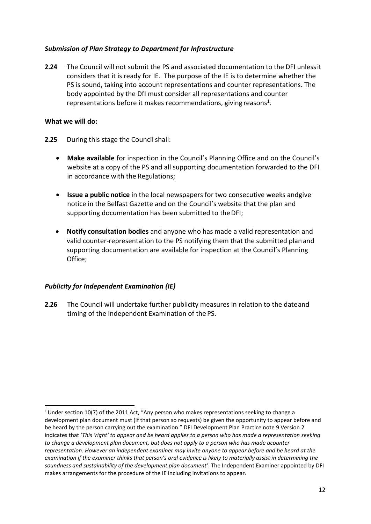# *Submission of Plan Strategy to Department for Infrastructure*

**2.24** The Council will not submit the PS and associated documentation to the DFI unlessit considers that it is ready for IE. The purpose of the IE is to determine whether the PS is sound, taking into account representations and counter representations. The body appointed by the DfI must consider all representations and counter representations before it makes recommendations, giving reasons<sup>1</sup>.

#### **What we will do:**

- **2.25** During this stage the Council shall:
	- **Make available** for inspection in the Council's Planning Office and on the Council's website at a copy of the PS and all supporting documentation forwarded to the DFI in accordance with the Regulations;
	- **Issue a public notice** in the local newspapers for two consecutive weeks andgive notice in the Belfast Gazette and on the Council's website that the plan and supporting documentation has been submitted to the DFI;
	- **Notify consultation bodies** and anyone who has made a valid representation and valid counter-representation to the PS notifying them that the submitted plan and supporting documentation are available for inspection at the Council's Planning Office;

# *Publicity for Independent Examination (IE)*

**2.26** The Council will undertake further publicity measures in relation to the dateand timing of the Independent Examination of the PS.

<span id="page-11-0"></span><sup>&</sup>lt;sup>1</sup> Under section 10(7) of the 2011 Act, "Any person who makes representations seeking to change a development plan document must (if that person so requests) be given the opportunity to appear before and be heard by the person carrying out the examination." DFI Development Plan Practice note 9 Version 2 indicates that '*This 'right' to appear and be heard applies to a person who has made a representation seeking to change a development plan document, but does not apply to a person who has made acounter representation. However an independent examiner may invite anyone to appear before and be heard at the examination if the examiner thinks that person's oral evidence is likely to materially assist in determining the soundness and sustainability of the development plan document'*. The Independent Examiner appointed by DFI makes arrangements for the procedure of the IE including invitations to appear.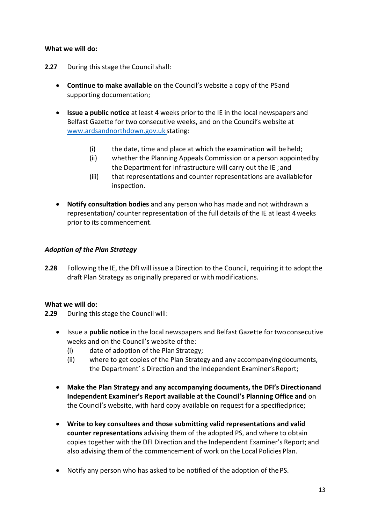## **What we will do:**

- **2.27** During this stage the Council shall:
	- **Continue to make available** on the Council's website a copy of the PSand supporting documentation;
	- **Issue a public notice** at least 4 weeks prior to the IE in the local newspapers and Belfast Gazette for two consecutive weeks, and on the Council's website at [www.ardsandnorthdown.gov.uk](http://www.ardsandnorthdown.gov.uk/) stating:
		- $(i)$  the date, time and place at which the examination will be held;
		- (ii) whether the Planning Appeals Commission or a person appointedby the Department for Infrastructure will carry out the IE ; and
		- (iii) that representations and counter representations are availablefor inspection.
	- **Notify consultation bodies** and any person who has made and not withdrawn a representation/ counter representation of the full details of the IE at least 4weeks prior to its commencement.

# *Adoption of the Plan Strategy*

**2.28** Following the IE, the DfI will issue a Direction to the Council, requiring it to adoptthe draft Plan Strategy as originally prepared or with modifications.

#### **What we will do:**

**2.29** During this stage the Council will:

- Issue a **public notice** in the local newspapers and Belfast Gazette for twoconsecutive weeks and on the Council's website of the:
	- (i) date of adoption of the Plan Strategy;
	- (ii) where to get copies of the Plan Strategy and any accompanyingdocuments, the Department' s Direction and the Independent Examiner'sReport;
- **Make the Plan Strategy and any accompanying documents, the DFI's Directionand Independent Examiner's Report available at the Council's Planning Office and** on the Council's website, with hard copy available on request for a specifiedprice;
- **Write to key consultees and those submitting valid representations and valid counter representations** advising them of the adopted PS, and where to obtain copies together with the DFI Direction and the Independent Examiner's Report; and also advising them of the commencement of work on the Local Policies Plan.
- Notify any person who has asked to be notified of the adoption of the PS.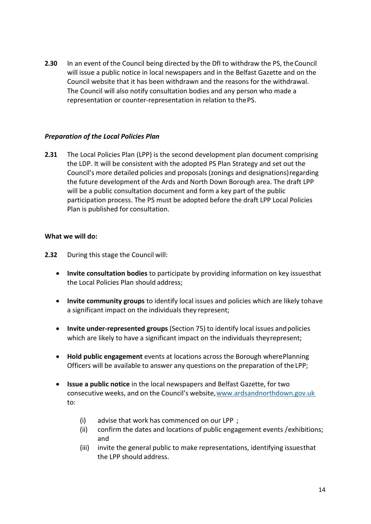**2.30** In an event of the Council being directed by the DfI to withdraw the PS, theCouncil will issue a public notice in local newspapers and in the Belfast Gazette and on the Council website that it has been withdrawn and the reasons for the withdrawal. The Council will also notify consultation bodies and any person who made a representation or counter-representation in relation to thePS.

## *Preparation of the Local Policies Plan*

**2.31** The Local Policies Plan (LPP) is the second development plan document comprising the LDP. It will be consistent with the adopted PS Plan Strategy and set out the Council's more detailed policies and proposals (zonings and designations)regarding the future development of the Ards and North Down Borough area. The draft LPP will be a public consultation document and form a key part of the public participation process. The PS must be adopted before the draft LPP Local Policies Plan is published for consultation.

- **2.32** During this stage the Council will:
	- **Invite consultation bodies** to participate by providing information on key issuesthat the Local Policies Plan should address;
	- **Invite community groups** to identify local issues and policies which are likely tohave a significant impact on the individuals they represent;
	- **Invite under-represented groups** (Section 75) to identify local issues andpolicies which are likely to have a significant impact on the individuals they represent;
	- **Hold public engagement** events at locations across the Borough wherePlanning Officers will be available to answer any questions on the preparation of the LPP;
	- **Issue a public notice** in the local newspapers and Belfast Gazette, for two consecutive weeks, and on the Council's website, www.ardsandnorthdown.gov.uk to:
		- (i) advise that work has commenced on our LPP ;
		- (ii) confirm the dates and locations of public engagement events /exhibitions; and
		- (iii) invite the general public to make representations, identifying issuesthat the LPP should address.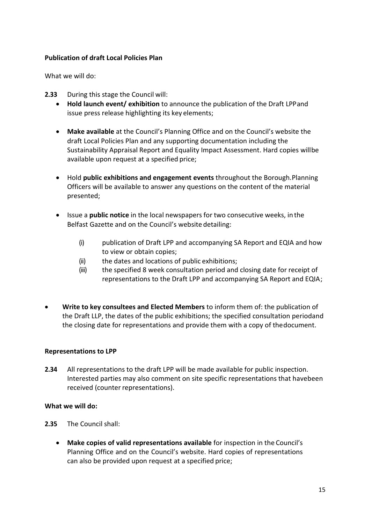# **Publication of draft Local Policies Plan**

What we will do:

- **2.33** During this stage the Council will:
	- **Hold launch event/ exhibition** to announce the publication of the Draft LPPand issue press release highlighting its key elements;
	- **Make available** at the Council's Planning Office and on the Council's website the draft Local Policies Plan and any supporting documentation including the Sustainability Appraisal Report and Equality Impact Assessment. Hard copies willbe available upon request at a specified price;
	- Hold **public exhibitions and engagement events** throughout the Borough.Planning Officers will be available to answer any questions on the content of the material presented;
	- Issue a **public notice** in the local newspapers for two consecutive weeks, in the Belfast Gazette and on the Council's website detailing:
		- (i) publication of Draft LPP and accompanying SA Report and EQIA and how to view or obtain copies;
		- (ii) the dates and locations of public exhibitions;
		- (iii) the specified 8 week consultation period and closing date for receipt of representations to the Draft LPP and accompanying SA Report and EQIA;
- **Write to key consultees and Elected Members** to inform them of: the publication of the Draft LLP, the dates of the public exhibitions; the specified consultation periodand the closing date for representations and provide them with a copy of thedocument.

# **Representations to LPP**

**2.34** All representations to the draft LPP will be made available for public inspection. Interested parties may also comment on site specific representations that havebeen received (counter representations).

- **2.35** The Council shall:
	- **Make copies of valid representations available** for inspection in the Council's Planning Office and on the Council's website. Hard copies of representations can also be provided upon request at a specified price;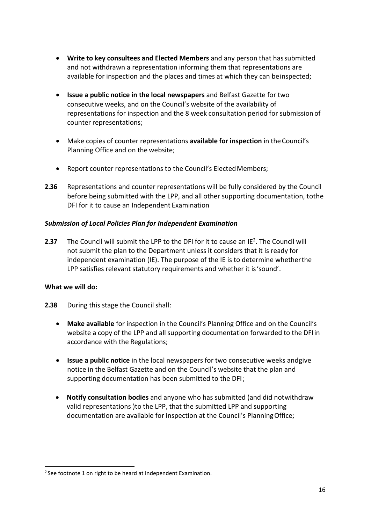- **Write to key consultees and Elected Members** and any person that hassubmitted and not withdrawn a representation informing them that representations are available for inspection and the places and times at which they can beinspected;
- **Issue a public notice in the local newspapers** and Belfast Gazette for two consecutive weeks, and on the Council's website of the availability of representations for inspection and the 8 week consultation period for submission of counter representations;
- Make copies of counter representations **available for inspection** in theCouncil's Planning Office and on the website;
- Report counter representations to the Council's ElectedMembers;
- **2.36** Representations and counter representations will be fully considered by the Council before being submitted with the LPP, and all other supporting documentation, tothe DFI for it to cause an Independent Examination

# *Submission of Local Policies Plan for Independent Examination*

**2.37** The Council will submit the LPP to the DFI for it to cause an I[E2.](#page-15-0) The Council will not submit the plan to the Department unless it considers that it is ready for independent examination (IE). The purpose of the IE is to determine whetherthe LPP satisfies relevant statutory requirements and whether it is'sound'.

- **2.38** During this stage the Council shall:
	- **Make available** for inspection in the Council's Planning Office and on the Council's website a copy of the LPP and all supporting documentation forwarded to the DFIin accordance with the Regulations;
	- **Issue a public notice** in the local newspapers for two consecutive weeks andgive notice in the Belfast Gazette and on the Council's website that the plan and supporting documentation has been submitted to the DFI;
	- **Notify consultation bodies** and anyone who has submitted (and did notwithdraw valid representations )to the LPP, that the submitted LPP and supporting documentation are available for inspection at the Council's PlanningOffice;

<span id="page-15-0"></span> $2$  See footnote 1 on right to be heard at Independent Examination.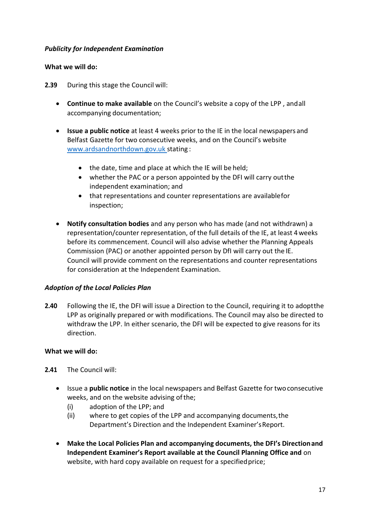## *Publicity for Independent Examination*

## **What we will do:**

**2.39** During this stage the Council will:

- **Continue to make available** on the Council's website a copy of the LPP , andall accompanying documentation;
- **Issue a public notice** at least 4 weeks prior to the IE in the local newspapers and Belfast Gazette for two consecutive weeks, and on the Council's website [www.ardsandnorthdown.gov.uk s](http://www.ardsandnorthdown.gov.uk/)tating :
	- the date, time and place at which the IE will be held;
	- whether the PAC or a person appointed by the DFI will carry outthe independent examination; and
	- that representations and counter representations are availablefor inspection;
- **Notify consultation bodies** and any person who has made (and not withdrawn) a representation/counter representation, of the full details of the IE, at least 4weeks before its commencement. Council will also advise whether the Planning Appeals Commission (PAC) or another appointed person by DfI will carry out the IE. Council will provide comment on the representations and counter representations for consideration at the Independent Examination.

#### *Adoption of the Local Policies Plan*

**2.40** Following the IE, the DFI will issue a Direction to the Council, requiring it to adoptthe LPP as originally prepared or with modifications. The Council may also be directed to withdraw the LPP. In either scenario, the DFI will be expected to give reasons for its direction.

- **2.41** The Council will:
	- Issue a **public notice** in the local newspapers and Belfast Gazette for twoconsecutive weeks, and on the website advising of the;
		- (i) adoption of the LPP; and
		- (ii) where to get copies of the LPP and accompanying documents,the Department's Direction and the Independent Examiner'sReport.
	- **Make the Local Policies Plan and accompanying documents, the DFI's Directionand Independent Examiner's Report available at the Council Planning Office and** on website, with hard copy available on request for a specified price;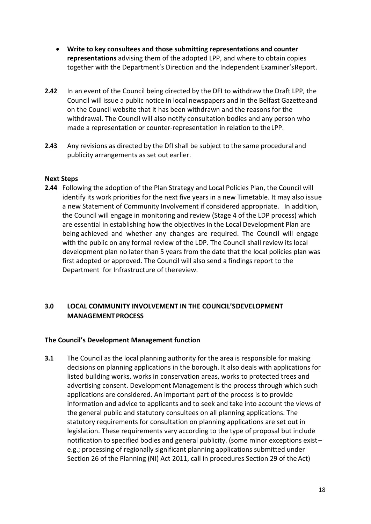- **Write to key consultees and those submitting representations and counter representations** advising them of the adopted LPP, and where to obtain copies together with the Department's Direction and the Independent Examiner'sReport.
- **2.42** In an event of the Council being directed by the DFI to withdraw the Draft LPP, the Council will issue a public notice in local newspapers and in the Belfast Gazetteand on the Council website that it has been withdrawn and the reasons for the withdrawal. The Council will also notify consultation bodies and any person who made a representation or counter-representation in relation to theLPP.
- **2.43** Any revisions as directed by the DfI shall be subject to the same procedural and publicity arrangements as set out earlier.

## **Next Steps**

**2.44** Following the adoption of the Plan Strategy and Local Policies Plan, the Council will identify its work priorities for the next five years in a new Timetable. It may also issue a new Statement of Community Involvement if considered appropriate. In addition, the Council will engage in monitoring and review (Stage 4 of the LDP process) which are essential in establishing how the objectives in the Local Development Plan are being achieved and whether any changes are required. The Council will engage with the public on any formal review of the LDP. The Council shall review its local development plan no later than 5 years from the date that the local policies plan was first adopted or approved. The Council will also send a findings report to the Department for Infrastructure of thereview.

# **3.0 LOCAL COMMUNITY INVOLVEMENT IN THE COUNCIL'SDEVELOPMENT MANAGEMENT PROCESS**

#### **The Council's Development Management function**

**3.1** The Council as the local planning authority for the area is responsible for making decisions on planning applications in the borough. It also deals with applications for listed building works, works in conservation areas, works to protected trees and advertising consent. Development Management is the process through which such applications are considered. An important part of the process is to provide information and advice to applicants and to seek and take into account the views of the general public and statutory consultees on all planning applications. The statutory requirements for consultation on planning applications are set out in legislation. These requirements vary according to the type of proposal but include notification to specified bodies and general publicity. (some minor exceptions exist – e.g.; processing of regionally significant planning applications submitted under Section 26 of the Planning (NI) Act 2011, call in procedures Section 29 of the Act)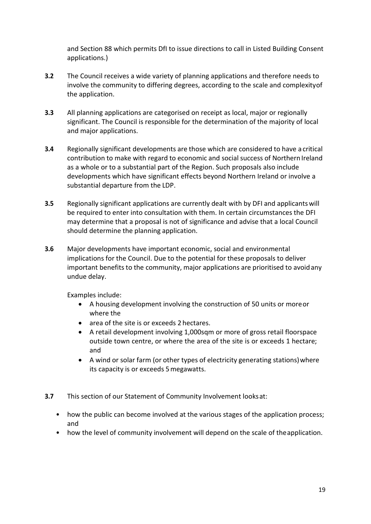and Section 88 which permits DfI to issue directions to call in Listed Building Consent applications.)

- **3.2** The Council receives a wide variety of planning applications and therefore needs to involve the community to differing degrees, according to the scale and complexityof the application.
- **3.3** All planning applications are categorised on receipt as local, major or regionally significant. The Council is responsible for the determination of the majority of local and major applications.
- **3.4** Regionally significant developments are those which are considered to have a critical contribution to make with regard to economic and social success of Northern Ireland as a whole or to a substantial part of the Region. Such proposals also include developments which have significant effects beyond Northern Ireland or involve a substantial departure from the LDP.
- **3.5** Regionally significant applications are currently dealt with by DFI and applicantswill be required to enter into consultation with them. In certain circumstances the DFI may determine that a proposal is not of significance and advise that a local Council should determine the planning application.
- **3.6** Major developments have important economic, social and environmental implications for the Council. Due to the potential for these proposals to deliver important benefits to the community, major applications are prioritised to avoidany undue delay.

Examples include:

- A housing development involving the construction of 50 units or moreor where the
- area of the site is or exceeds 2 hectares.
- A retail development involving 1,000sqm or more of gross retail floorspace outside town centre, or where the area of the site is or exceeds 1 hectare; and
- A wind or solar farm (or other types of electricity generating stations)where its capacity is or exceeds 5megawatts.
- **3.7** This section of our Statement of Community Involvement looksat:
	- how the public can become involved at the various stages of the application process; and
	- how the level of community involvement will depend on the scale of theapplication.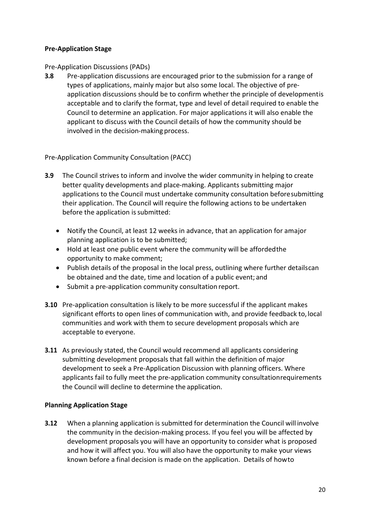# **Pre-Application Stage**

## Pre-Application Discussions (PADs)

**3.8** Pre-application discussions are encouraged prior to the submission for a range of types of applications, mainly major but also some local. The objective of preapplication discussions should be to confirm whether the principle of developmentis acceptable and to clarify the format, type and level of detail required to enable the Council to determine an application. For major applications it will also enable the applicant to discuss with the Council details of how the community should be involved in the decision-making process.

Pre-Application Community Consultation (PACC)

- **3.9** The Council strives to inform and involve the wider community in helping to create better quality developments and place-making. Applicants submitting major applications to the Council must undertake community consultation beforesubmitting their application. The Council will require the following actions to be undertaken before the application is submitted:
	- Notify the Council, at least 12 weeks in advance, that an application for amajor planning application is to be submitted;
	- Hold at least one public event where the community will be affordedthe opportunity to make comment;
	- Publish details of the proposal in the local press, outlining where further detailscan be obtained and the date, time and location of a public event; and
	- Submit a pre-application community consultation report.
- **3.10** Pre-application consultation is likely to be more successful if the applicant makes significant efforts to open lines of communication with, and provide feedback to, local communities and work with them to secure development proposals which are acceptable to everyone.
- **3.11** As previously stated, the Council would recommend all applicants considering submitting development proposals that fall within the definition of major development to seek a Pre-Application Discussion with planning officers. Where applicants fail to fully meet the pre-application community consultationrequirements the Council will decline to determine the application.

# **Planning Application Stage**

**3.12** When a planning application is submitted for determination the Council will involve the community in the decision-making process. If you feel you will be affected by development proposals you will have an opportunity to consider what is proposed and how it will affect you. You will also have the opportunity to make your views known before a final decision is made on the application. Details of howto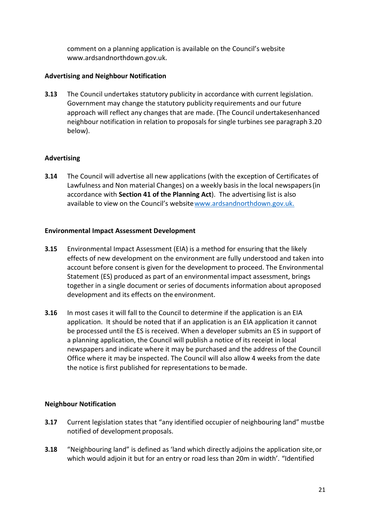comment on a planning application is available on the Council's website [www.ardsandnorthdown.gov.uk.](http://www.ardsandnorthdown.gov.uk/)

# **Advertising and Neighbour Notification**

**3.13** The Council undertakes statutory publicity in accordance with current legislation. Government may change the statutory publicity requirements and our future approach will reflect any changes that are made. (The Council undertakesenhanced neighbour notification in relation to proposals for single turbines see paragraph3.20 below).

# **Advertising**

**3.14** The Council will advertise all new applications (with the exception of Certificates of Lawfulness and Non material Changes) on a weekly basis in the local newspapers(in accordance with **Section 41 of the Planning Act**). The advertising list is also available to view on the Council's websit[ewww.ardsandnorthdown.gov.uk.](http://www.ardsandnorthdown.gov.uk/)

## **Environmental Impact Assessment Development**

- **3.15** Environmental Impact Assessment (EIA) is a method for ensuring that the likely effects of new development on the environment are fully understood and taken into account before consent is given for the development to proceed. The Environmental Statement (ES) produced as part of an environmental impact assessment, brings together in a single document or series of documents information about aproposed development and its effects on the environment.
- **3.16** In most cases it will fall to the Council to determine if the application is an EIA application. It should be noted that if an application is an EIA application it cannot be processed until the ES is received. When a developer submits an ES in support of a planning application, the Council will publish a notice of its receipt in local newspapers and indicate where it may be purchased and the address of the Council Office where it may be inspected. The Council will also allow 4 weeks from the date the notice is first published for representations to bemade.

# **Neighbour Notification**

- **3.17** Current legislation states that "any identified occupier of neighbouring land" mustbe notified of development proposals.
- **3.18** "Neighbouring land" is defined as 'land which directly adjoins the application site,or which would adjoin it but for an entry or road less than 20m in width'. "Identified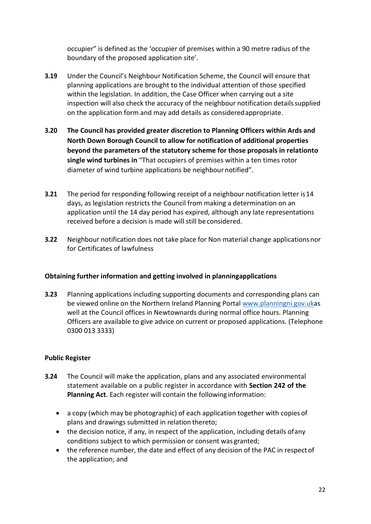occupier" is defined as the 'occupier of premises within a 90 metre radius of the boundary of the proposed application site'.

- **3.19** Under the Council's Neighbour Notification Scheme, the Council will ensure that planning applications are brought to the individual attention of those specified within the legislation. In addition, the Case Officer when carrying out a site inspection will also check the accuracy of the neighbour notification detailssupplied on the application form and may add details as consideredappropriate.
- **3.20 The Council has provided greater discretion to Planning Officers within Ards and North Down Borough Council to allow for notification of additional properties beyond the parameters of the statutory scheme for those proposals in relationto single wind turbines in** "That occupiers of premises within a ten times rotor diameter of wind turbine applications be neighbour notified".
- **3.21** The period for responding following receipt of a neighbour notification letter is14 days, as legislation restricts the Council from making a determination on an application until the 14 day period has expired, although any late representations received before a decision is made will still be considered.
- **3.22** Neighbour notification does not take place for Non material change applicationsnor for Certificates of lawfulness

# **Obtaining further information and getting involved in planningapplications**

**3.23** Planning applications including supporting documents and corresponding plans can be viewed online on the Northern Ireland Planning Portal [www.planningni.gov.uka](http://www.planningni.gov.uk/)s well at the Council offices in Newtownards during normal office hours. Planning Officers are available to give advice on current or proposed applications. (Telephone 0300 013 3333)

# **Public Register**

- **3.24** The Council will make the application, plans and any associated environmental statement available on a public register in accordance with **Section 242 of the Planning Act**. Each register will contain the following information:
	- a copy (which may be photographic) of each application together with copies of plans and drawings submitted in relation thereto;
	- the decision notice, if any, in respect of the application, including details of any conditions subject to which permission or consent was granted;
	- the reference number, the date and effect of any decision of the PAC in respect of the application; and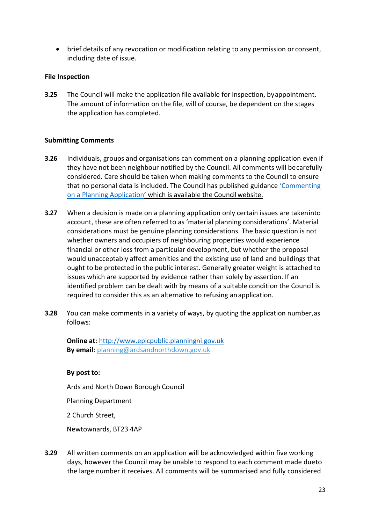• brief details of any revocation or modification relating to any permission or consent, including date of issue.

## **File Inspection**

**3.25** The Council will make the application file available for inspection, byappointment. The amount of information on the file, will of course, be dependent on the stages the application has completed.

## **Submitting Comments**

- **3.26** Individuals, groups and organisations can comment on a planning application even if they have not been neighbour notified by the Council. All comments will becarefully considered. Care should be taken when making comments to the Council to ensure that no personal data is included. The Council has published guidance ['Commenting](http://www.ardsandnorthdown.gov.uk/downloads/ards-and-north-down-borough-council-commenting-on-a-planning-application.pdf)  [on a Planning Application'](http://www.ardsandnorthdown.gov.uk/downloads/ards-and-north-down-borough-council-commenting-on-a-planning-application.pdf) which is available the Councilwebsite.
- **3.27** When a decision is made on a planning application only certain issues are takeninto account, these are often referred to as 'material planning considerations'. Material considerations must be genuine planning considerations. The basic question is not whether owners and occupiers of neighbouring properties would experience financial or other loss from a particular development, but whether the proposal would unacceptably affect amenities and the existing use of land and buildings that ought to be protected in the public interest. Generally greater weight is attached to issues which are supported by evidence rather than solely by assertion. If an identified problem can be dealt with by means of a suitable condition the Council is required to consider this as an alternative to refusing anapplication.
- **3.28** You can make comments in a variety of ways, by quoting the application number,as follows:

**Online at**: [http://www.epicpublic.planningni.gov.uk](http://www.epicpublic.planningni.gov.uk/) **By email**: [planning@ardsandnorthdown.gov.uk](mailto:planning@ardsandnorthdown.gov.uk)

#### **By post to:**

Ards and North Down Borough Council

Planning Department

2 Church Street,

Newtownards, BT23 4AP

**3.29** All written comments on an application will be acknowledged within five working days, however the Council may be unable to respond to each comment made dueto the large number it receives. All comments will be summarised and fully considered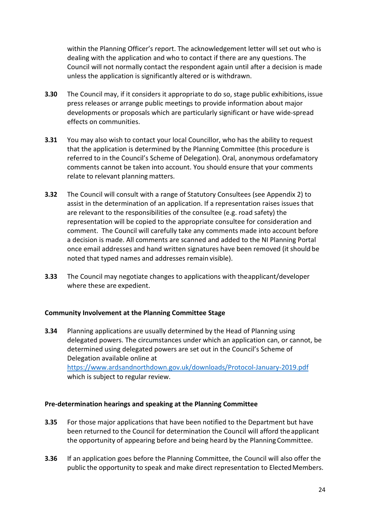within the Planning Officer's report. The acknowledgement letter will set out who is dealing with the application and who to contact if there are any questions. The Council will not normally contact the respondent again until after a decision is made unless the application is significantly altered or is withdrawn.

- **3.30** The Council may, if it considers it appropriate to do so, stage public exhibitions, issue press releases or arrange public meetings to provide information about major developments or proposals which are particularly significant or have wide-spread effects on communities.
- **3.31** You may also wish to contact your local Councillor, who has the ability to request that the application is determined by the Planning Committee (this procedure is referred to in the Council's Scheme of Delegation). Oral, anonymous ordefamatory comments cannot be taken into account. You should ensure that your comments relate to relevant planning matters.
- **3.32** The Council will consult with a range of Statutory Consultees (see Appendix 2) to assist in the determination of an application. If a representation raises issues that are relevant to the responsibilities of the consultee (e.g. road safety) the representation will be copied to the appropriate consultee for consideration and comment. The Council will carefully take any comments made into account before a decision is made. All comments are scanned and added to the NI Planning Portal once email addresses and hand written signatures have been removed (it should be noted that typed names and addresses remain visible).
- **3.33** The Council may negotiate changes to applications with theapplicant/developer where these are expedient.

# **Community Involvement at the Planning Committee Stage**

**3.34** Planning applications are usually determined by the Head of Planning using delegated powers. The circumstances under which an application can, or cannot, be determined using delegated powers are set out in the Council's Scheme of Delegation available online at <https://www.ardsandnorthdown.gov.uk/downloads/Protocol-January-2019.pdf> which is subject to regular review.

#### **Pre-determination hearings and speaking at the Planning Committee**

- **3.35** For those major applications that have been notified to the Department but have been returned to the Council for determination the Council will afford theapplicant the opportunity of appearing before and being heard by the PlanningCommittee.
- **3.36** If an application goes before the Planning Committee, the Council will also offer the public the opportunity to speak and make direct representation to ElectedMembers.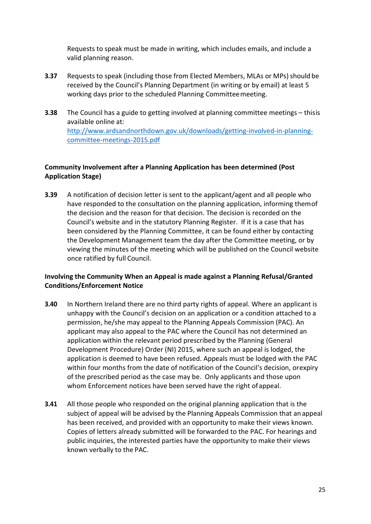Requests to speak must be made in writing, which includes emails, and include a valid planning reason.

- **3.37** Requests to speak (including those from Elected Members, MLAs or MPs) should be received by the Council's Planning Department (in writing or by email) at least 5 working days prior to the scheduled Planning Committeemeeting.
- **3.38** The Council has a guide to getting involved at planning committee meetings thisis available online at: [http://www.ardsandnorthdown.gov.uk/downloads/getting-involved-in-planning](http://www.ardsandnorthdown.gov.uk/downloads/getting-involved-in-planning-committee-meetings-2015.pdf)[committee-meetings-2015.pdf](http://www.ardsandnorthdown.gov.uk/downloads/getting-involved-in-planning-committee-meetings-2015.pdf)

# **Community Involvement after a Planning Application has been determined (Post Application Stage)**

**3.39** A notification of decision letter is sent to the applicant/agent and all people who have responded to the consultation on the planning application, informing themof the decision and the reason for that decision. The decision is recorded on the Council's website and in the statutory Planning Register. If it is a case that has been considered by the Planning Committee, it can be found either by contacting the Development Management team the day after the Committee meeting, or by viewing the minutes of the meeting which will be published on the Council website once ratified by full Council.

# **Involving the Community When an Appeal is made against a Planning Refusal/Granted Conditions/Enforcement Notice**

- **3.40** In Northern Ireland there are no third party rights of appeal. Where an applicant is unhappy with the Council's decision on an application or a condition attached to a permission, he/she may appeal to the Planning Appeals Commission (PAC). An applicant may also appeal to the PAC where the Council has not determined an application within the relevant period prescribed by the Planning (General Development Procedure) Order (NI) 2015, where such an appeal is lodged, the application is deemed to have been refused. Appeals must be lodged with the PAC within four months from the date of notification of the Council's decision, orexpiry of the prescribed period as the case may be. Only applicants and those upon whom Enforcement notices have been served have the right ofappeal.
- **3.41** All those people who responded on the original planning application that is the subject of appeal will be advised by the Planning Appeals Commission that an appeal has been received, and provided with an opportunity to make their views known. Copies of letters already submitted will be forwarded to the PAC. For hearings and public inquiries, the interested parties have the opportunity to make their views known verbally to the PAC.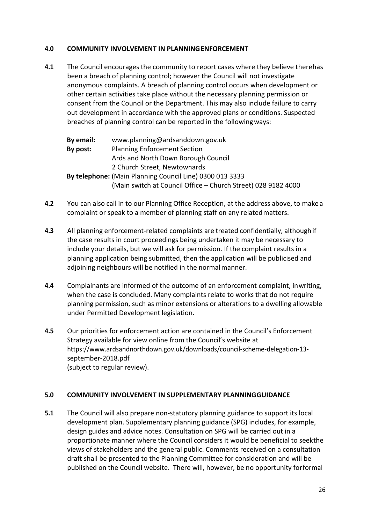## <span id="page-25-0"></span>**4.0 COMMUNITY INVOLVEMENT IN PLANNINGENFORCEMENT**

**4.1** The Council encourages the community to report cases where they believe therehas been a breach of planning control; however the Council will not investigate anonymous complaints. A breach of planning control occurs when development or other certain activities take place without the necessary planning permission or consent from the Council or the Department. This may also include failure to carry out development in accordance with the approved plans or conditions. Suspected breaches of planning control can be reported in the followingways:

**By email:** [www.planning@ardsanddown.gov.uk](mailto:www.planning@ardsanddown.gov.uk) **By post:** Planning Enforcement Section Ards and North Down Borough Council 2 Church Street, Newtownards **By telephone:** (Main Planning Council Line) 0300 013 3333 (Main switch at Council Office – Church Street) 028 9182 4000

- **4.2** You can also call in to our Planning Office Reception, at the address above, to makea complaint or speak to a member of planning staff on any relatedmatters.
- **4.3** All planning enforcement-related complaints are treated confidentially, althoughif the case results in court proceedings being undertaken it may be necessary to include your details, but we will ask for permission. If the complaint results in a planning application being submitted, then the application will be publicised and adjoining neighbours will be notified in the normal manner.
- **4.4** Complainants are informed of the outcome of an enforcement complaint, inwriting, when the case is concluded. Many complaints relate to works that do not require planning permission, such as minor extensions or alterations to a dwelling allowable under Permitted Development legislation.
- **4.5** Our priorities for enforcement action are contained in the Council's Enforcement Strategy available for view online from the Council's website at [https://www.ardsandnorthdown.gov.uk/downloads/council-scheme-delegation-13](http://www.ardsandnorthdown.gov.uk/downloads/ards-and-north-down-planning-enforcement-strategy.pdf) [september-2018.pdf](http://www.ardsandnorthdown.gov.uk/downloads/ards-and-north-down-planning-enforcement-strategy.pdf) (subject to regular review).

#### <span id="page-25-1"></span>**5.0 COMMUNITY INVOLVEMENT IN SUPPLEMENTARY PLANNINGGUIDANCE**

**5.1** The Council will also prepare non-statutory planning guidance to support its local development plan. Supplementary planning guidance (SPG) includes, for example, design guides and advice notes. Consultation on SPG will be carried out in a proportionate manner where the Council considers it would be beneficial to seekthe views of stakeholders and the general public. Comments received on a consultation draft shall be presented to the Planning Committee for consideration and will be published on the Council website. There will, however, be no opportunity forformal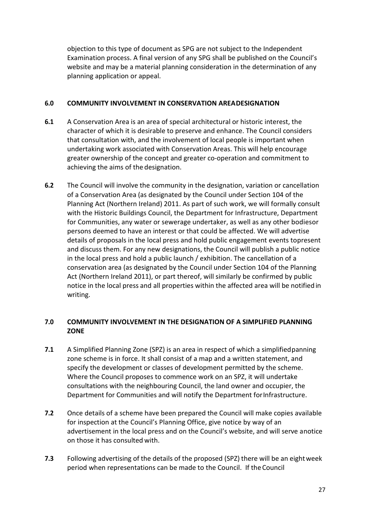objection to this type of document as SPG are not subject to the Independent Examination process. A final version of any SPG shall be published on the Council's website and may be a material planning consideration in the determination of any planning application or appeal.

## <span id="page-26-0"></span>**6.0 COMMUNITY INVOLVEMENT IN CONSERVATION AREADESIGNATION**

- **6.1** A Conservation Area is an area of special architectural or historic interest, the character of which it is desirable to preserve and enhance. The Council considers that consultation with, and the involvement of local people is important when undertaking work associated with Conservation Areas. This will help encourage greater ownership of the concept and greater co-operation and commitment to achieving the aims of the designation.
- **6.2** The Council will involve the community in the designation, variation or cancellation of a Conservation Area (as designated by the Council under Section 104 of the Planning Act (Northern Ireland) 2011. As part of such work, we will formally consult with the Historic Buildings Council, the Department for Infrastructure, Department for Communities, any water or sewerage undertaker, as well as any other bodiesor persons deemed to have an interest or that could be affected. We will advertise details of proposals in the local press and hold public engagement events topresent and discuss them. For any new designations, the Council will publish a public notice in the local press and hold a public launch / exhibition. The cancellation of a conservation area (as designated by the Council under Section 104 of the Planning Act (Northern Ireland 2011), or part thereof, will similarly be confirmed by public notice in the local press and all properties within the affected area will be notifiedin writing.

# <span id="page-26-1"></span>**7.0 COMMUNITY INVOLVEMENT IN THE DESIGNATION OF A SIMPLIFIED PLANNING ZONE**

- **7.1** A Simplified Planning Zone (SPZ) is an area in respect of which a simplified panning zone scheme is in force. It shall consist of a map and a written statement, and specify the development or classes of development permitted by the scheme. Where the Council proposes to commence work on an SPZ, it will undertake consultations with the neighbouring Council, the land owner and occupier, the Department for Communities and will notify the Department for Infrastructure.
- **7.2** Once details of a scheme have been prepared the Council will make copies available for inspection at the Council's Planning Office, give notice by way of an advertisement in the local press and on the Council's website, and will serve anotice on those it has consulted with.
- **7.3** Following advertising of the details of the proposed (SPZ) there will be an eightweek period when representations can be made to the Council. If theCouncil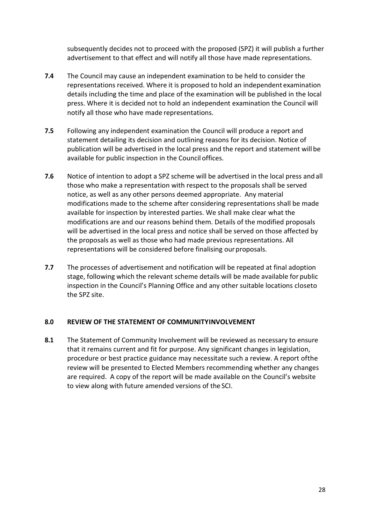subsequently decides not to proceed with the proposed (SPZ) it will publish a further advertisement to that effect and will notify all those have made representations.

- **7.4** The Council may cause an independent examination to be held to consider the representations received. Where it is proposed to hold an independent examination details including the time and place of the examination will be published in the local press. Where it is decided not to hold an independent examination the Council will notify all those who have made representations.
- **7.5** Following any independent examination the Council will produce a report and statement detailing its decision and outlining reasons for its decision. Notice of publication will be advertised in the local press and the report and statement willbe available for public inspection in the Council offices.
- **7.6** Notice of intention to adopt a SPZ scheme will be advertised in the local press and all those who make a representation with respect to the proposals shall be served notice, as well as any other persons deemed appropriate. Any material modifications made to the scheme after considering representations shall be made available for inspection by interested parties. We shall make clear what the modifications are and our reasons behind them. Details of the modified proposals will be advertised in the local press and notice shall be served on those affected by the proposals as well as those who had made previous representations. All representations will be considered before finalising our proposals.
- **7.7** The processes of advertisement and notification will be repeated at final adoption stage, following which the relevant scheme details will be made available for public inspection in the Council's Planning Office and any other suitable locations closeto the SPZ site.

#### <span id="page-27-0"></span>**8.0 REVIEW OF THE STATEMENT OF COMMUNITYINVOLVEMENT**

**8.1** The Statement of Community Involvement will be reviewed as necessary to ensure that it remains current and fit for purpose. Any significant changes in legislation, procedure or best practice guidance may necessitate such a review. A report ofthe review will be presented to Elected Members recommending whether any changes are required. A copy of the report will be made available on the Council's website to view along with future amended versions of the SCI.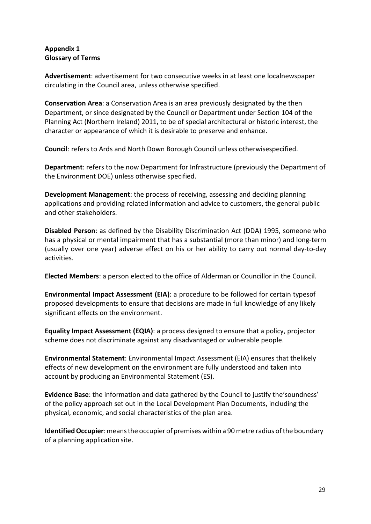## <span id="page-28-0"></span>**Appendix 1 Glossary of Terms**

**Advertisement**: advertisement for two consecutive weeks in at least one localnewspaper circulating in the Council area, unless otherwise specified.

**Conservation Area**: a Conservation Area is an area previously designated by the then Department, or since designated by the Council or Department under Section 104 of the Planning Act (Northern Ireland) 2011, to be of special architectural or historic interest, the character or appearance of which it is desirable to preserve and enhance.

**Council**: refers to Ards and North Down Borough Council unless otherwisespecified.

**Department**: refers to the now Department for Infrastructure (previously the Department of the Environment DOE) unless otherwise specified.

**Development Management**: the process of receiving, assessing and deciding planning applications and providing related information and advice to customers, the general public and other stakeholders.

**Disabled Person**: as defined by the Disability Discrimination Act (DDA) 1995, someone who has a physical or mental impairment that has a substantial (more than minor) and long-term (usually over one year) adverse effect on his or her ability to carry out normal day-to-day activities.

**Elected Members**: a person elected to the office of Alderman or Councillor in the Council.

**Environmental Impact Assessment (EIA)**: a procedure to be followed for certain typesof proposed developments to ensure that decisions are made in full knowledge of any likely significant effects on the environment.

**Equality Impact Assessment (EQIA)**: a process designed to ensure that a policy, projector scheme does not discriminate against any disadvantaged or vulnerable people.

**Environmental Statement**: Environmental Impact Assessment (EIA) ensures that thelikely effects of new development on the environment are fully understood and taken into account by producing an Environmental Statement (ES).

**Evidence Base**: the information and data gathered by the Council to justify the'soundness' of the policy approach set out in the Local Development Plan Documents, including the physical, economic, and social characteristics of the plan area.

**Identified Occupier**: means the occupier of premises within a 90 metre radius of the boundary of a planning application site.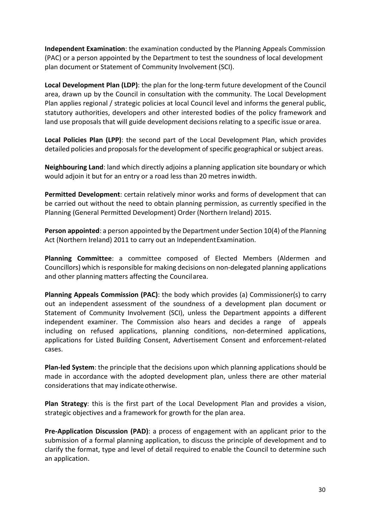**Independent Examination**: the examination conducted by the Planning Appeals Commission (PAC) or a person appointed by the Department to test the soundness of local development plan document or Statement of Community Involvement (SCI).

**Local Development Plan (LDP)**: the plan for the long-term future development of the Council area, drawn up by the Council in consultation with the community. The Local Development Plan applies regional / strategic policies at local Council level and informs the general public, statutory authorities, developers and other interested bodies of the policy framework and land use proposals that will guide development decisions relating to a specific issue or area.

**Local Policies Plan (LPP)**: the second part of the Local Development Plan, which provides detailed policies and proposals for the development of specific geographical or subject areas.

**Neighbouring Land**: land which directly adjoins a planning application site boundary or which would adjoin it but for an entry or a road less than 20 metres inwidth.

**Permitted Development**: certain relatively minor works and forms of development that can be carried out without the need to obtain planning permission, as currently specified in the Planning (General Permitted Development) Order (Northern Ireland) 2015.

**Person appointed**: a person appointed by the Department under Section 10(4) of the Planning Act (Northern Ireland) 2011 to carry out an Independent Examination.

**Planning Committee**: a committee composed of Elected Members (Aldermen and Councillors) which isresponsible for making decisions on non-delegated planning applications and other planning matters affecting the Councilarea.

**Planning Appeals Commission (PAC)**: the body which provides (a) Commissioner(s) to carry out an independent assessment of the soundness of a development plan document or Statement of Community Involvement (SCI), unless the Department appoints a different independent examiner. The Commission also hears and decides a range of appeals including on refused applications, planning conditions, non-determined applications, applications for Listed Building Consent, Advertisement Consent and enforcement-related cases.

**Plan-led System**: the principle that the decisions upon which planning applications should be made in accordance with the adopted development plan, unless there are other material considerations that may indicate otherwise.

**Plan Strategy**: this is the first part of the Local Development Plan and provides a vision, strategic objectives and a framework for growth for the plan area.

**Pre-Application Discussion (PAD)**: a process of engagement with an applicant prior to the submission of a formal planning application, to discuss the principle of development and to clarify the format, type and level of detail required to enable the Council to determine such an application.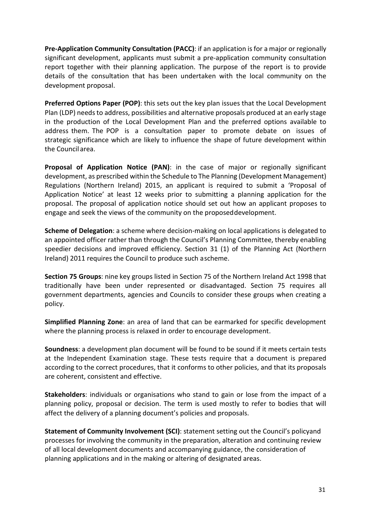**Pre-Application Community Consultation (PACC)**: if an application is for a major or regionally significant development, applicants must submit a pre-application community consultation report together with their planning application. The purpose of the report is to provide details of the consultation that has been undertaken with the local community on the development proposal.

**Preferred Options Paper (POP)**: this sets out the key plan issues that the Local Development Plan (LDP) needs to address, possibilities and alternative proposals produced at an early stage in the production of the Local Development Plan and the preferred options available to address them. The POP is a consultation paper to promote debate on issues of strategic significance which are likely to influence the shape of future development within the Council area.

**Proposal of Application Notice (PAN)**: in the case of major or regionally significant development, as prescribed within the Schedule to The Planning (Development Management) Regulations (Northern Ireland) 2015, an applicant is required to submit a 'Proposal of Application Notice' at least 12 weeks prior to submitting a planning application for the proposal. The proposal of application notice should set out how an applicant proposes to engage and seek the views of the community on the proposeddevelopment.

**Scheme of Delegation**: a scheme where decision-making on local applications is delegated to an appointed officer rather than through the Council's Planning Committee, thereby enabling speedier decisions and improved efficiency. Section 31 (1) of the Planning Act (Northern Ireland) 2011 requires the Council to produce such ascheme.

**Section 75 Groups**: nine key groups listed in Section 75 of the Northern Ireland Act 1998 that traditionally have been under represented or disadvantaged. Section 75 requires all government departments, agencies and Councils to consider these groups when creating a policy.

**Simplified Planning Zone**: an area of land that can be earmarked for specific development where the planning process is relaxed in order to encourage development.

**Soundness**: a development plan document will be found to be sound if it meets certain tests at the Independent Examination stage. These tests require that a document is prepared according to the correct procedures, that it conforms to other policies, and that its proposals are coherent, consistent and effective.

**Stakeholders**: individuals or organisations who stand to gain or lose from the impact of a planning policy, proposal or decision. The term is used mostly to refer to bodies that will affect the delivery of a planning document's policies and proposals.

**Statement of Community Involvement (SCI)**: statement setting out the Council's policyand processes for involving the community in the preparation, alteration and continuing review of all local development documents and accompanying guidance, the consideration of planning applications and in the making or altering of designated areas.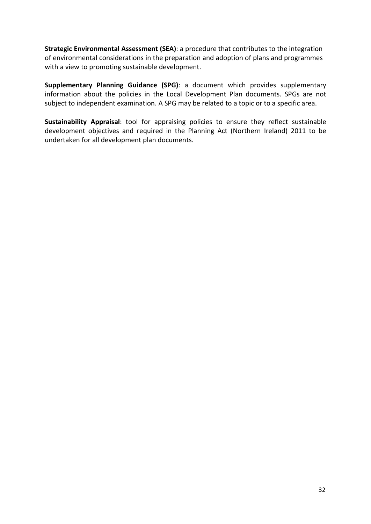**Strategic Environmental Assessment (SEA)**: a procedure that contributes to the integration of environmental considerations in the preparation and adoption of plans and programmes with a view to promoting sustainable development.

**Supplementary Planning Guidance (SPG)**: a document which provides supplementary information about the policies in the Local Development Plan documents. SPGs are not subject to independent examination. A SPG may be related to a topic or to a specific area.

**Sustainability Appraisal**: tool for appraising policies to ensure they reflect sustainable development objectives and required in the Planning Act (Northern Ireland) 2011 to be undertaken for all development plan documents.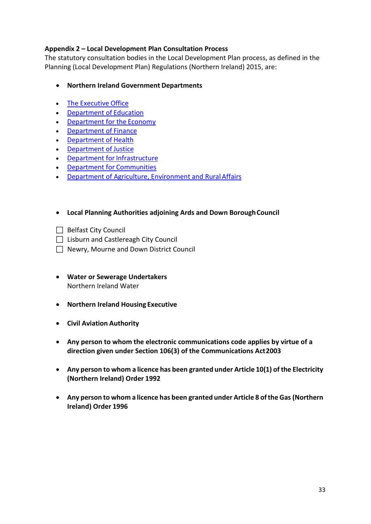# **Appendix 2 – Local Development Plan Consultation Process**

The statutory consultation bodies in the Local Development Plan process, as defined in the Planning (Local Development Plan) Regulations (Northern Ireland) 2015, are:

- **Northern Ireland Government Departments**
- [The Executive](https://www.nidirect.gov.uk/contacts/contacts-az/executive-office) Office
- [Department of](https://www.nidirect.gov.uk/contacts/contacts-az/department-education) Education
- [Department for the](https://www.nidirect.gov.uk/contacts/contacts-az/department-economy) Economy
- [Department of](https://www.nidirect.gov.uk/contacts/contacts-az/department-finance) Finance
- [Department of](https://www.nidirect.gov.uk/contacts/contacts-az/department-health) Health
- [Department of](https://www.nidirect.gov.uk/contacts/contacts-az/department-justice) Justice
- Department for Infrastructure
- [Department for](https://www.nidirect.gov.uk/contacts/contacts-az/department-communities) Communities
- [Department of Agriculture, Environment and RuralAffairs](https://www.nidirect.gov.uk/contacts/contacts-az/department-agriculture-environment-and-rural-affairs)
- **Local Planning Authorities adjoining Ards and Down BoroughCouncil**
- $\Box$  Belfast City Council
- □ Lisburn and Castlereagh City Council
- Newry, Mourne and Down District Council
- **Water or Sewerage Undertakers** Northern Ireland Water
- **Northern Ireland Housing Executive**
- **Civil Aviation Authority**
- **Any person to whom the electronic communications code applies by virtue of a direction given under Section 106(3) of the Communications Act2003**
- **Any person to whom a licence has been granted under Article 10(1) of the Electricity (Northern Ireland) Order 1992**
- **Any person to whom a licence has been granted under Article 8 oftheGas (Northern Ireland) Order 1996**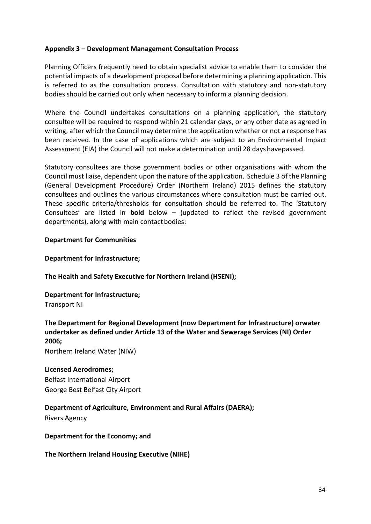## <span id="page-33-0"></span>**Appendix 3 – Development Management Consultation Process**

Planning Officers frequently need to obtain specialist advice to enable them to consider the potential impacts of a development proposal before determining a planning application. This is referred to as the consultation process. Consultation with statutory and non-statutory bodies should be carried out only when necessary to inform a planning decision.

Where the Council undertakes consultations on a planning application, the statutory consultee will be required to respond within 21 calendar days, or any other date as agreed in writing, after which the Council may determine the application whether or not a response has been received. In the case of applications which are subject to an Environmental Impact Assessment (EIA) the Council will not make a determination until 28 dayshavepassed.

Statutory consultees are those government bodies or other organisations with whom the Council must liaise, dependent upon the nature of the application. Schedule 3 of the Planning (General Development Procedure) Order (Northern Ireland) 2015 defines the statutory consultees and outlines the various circumstances where consultation must be carried out. These specific criteria/thresholds for consultation should be referred to. The 'Statutory Consultees' are listed in **bold** below – (updated to reflect the revised government departments), along with main contact bodies:

## **Department for Communities**

## **Department for Infrastructure;**

#### **The Health and Safety Executive for Northern Ireland (HSENI);**

**Department for Infrastructure;** Transport NI

**The Department for Regional Development (now Department for Infrastructure) orwater undertaker as defined under Article 13 of the Water and Sewerage Services (NI) Order 2006;**

Northern Ireland Water (NIW)

# **Licensed Aerodromes;**

Belfast International Airport George Best Belfast City Airport

# **Department of Agriculture, Environment and Rural Affairs (DAERA);**

Rivers Agency

**Department for the Economy; and**

#### **The Northern Ireland Housing Executive (NIHE)**